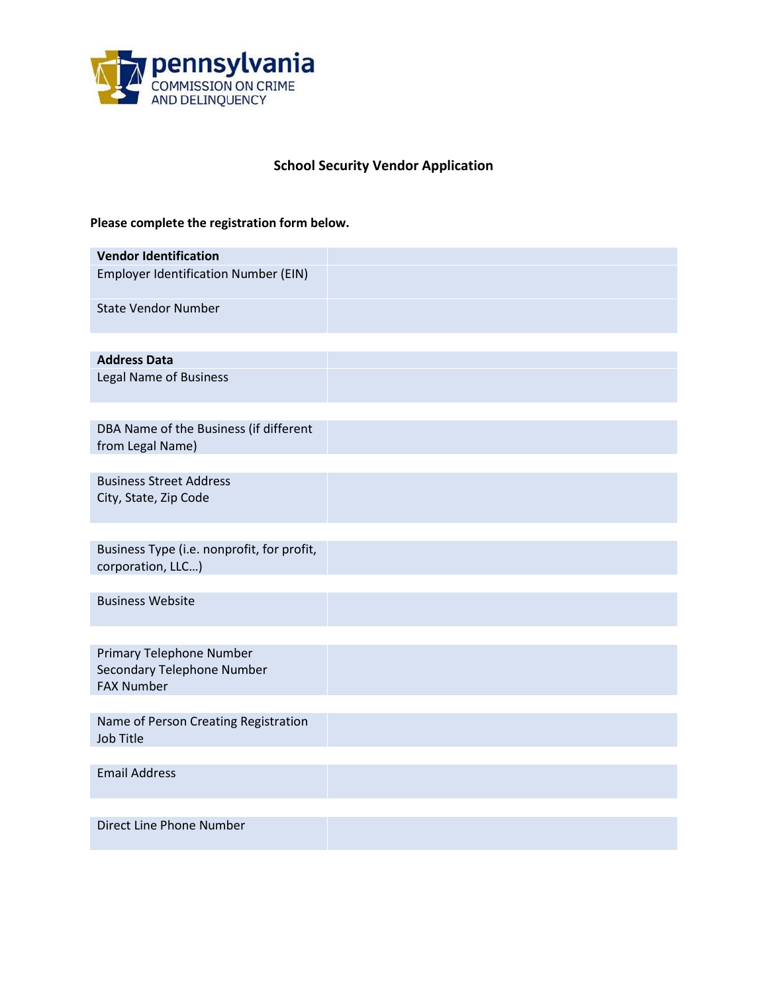

## **School Security Vendor Application**

## **Please complete the registration form below.**

| <b>Vendor Identification</b>                                                |  |
|-----------------------------------------------------------------------------|--|
| <b>Employer Identification Number (EIN)</b>                                 |  |
| <b>State Vendor Number</b>                                                  |  |
|                                                                             |  |
| <b>Address Data</b>                                                         |  |
| <b>Legal Name of Business</b>                                               |  |
|                                                                             |  |
| DBA Name of the Business (if different<br>from Legal Name)                  |  |
|                                                                             |  |
| <b>Business Street Address</b><br>City, State, Zip Code                     |  |
|                                                                             |  |
| Business Type (i.e. nonprofit, for profit,<br>corporation, LLC)             |  |
|                                                                             |  |
| <b>Business Website</b>                                                     |  |
|                                                                             |  |
| Primary Telephone Number<br>Secondary Telephone Number<br><b>FAX Number</b> |  |
|                                                                             |  |
| Name of Person Creating Registration<br><b>Job Title</b>                    |  |
|                                                                             |  |
| <b>Email Address</b>                                                        |  |
|                                                                             |  |
| Direct Line Phone Number                                                    |  |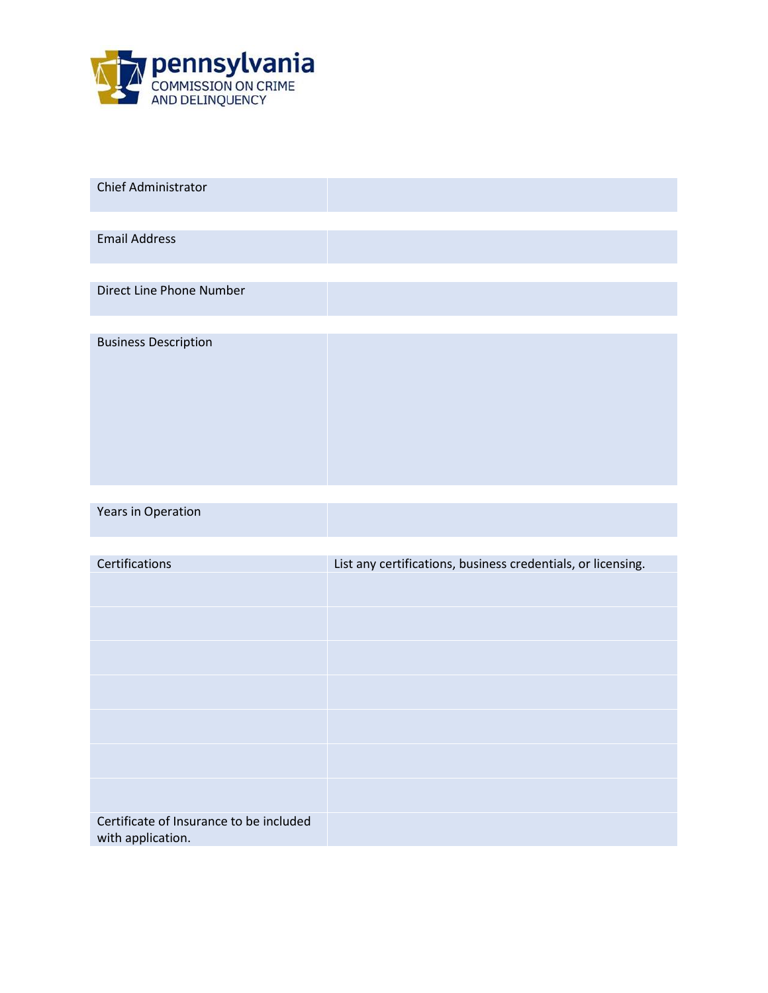

| Chief Administrator         |  |
|-----------------------------|--|
|                             |  |
| <b>Email Address</b>        |  |
|                             |  |
| Direct Line Phone Number    |  |
|                             |  |
| <b>Business Description</b> |  |
|                             |  |
| Years in Operation          |  |
|                             |  |
|                             |  |

| Certifications                                               | List any certifications, business credentials, or licensing. |
|--------------------------------------------------------------|--------------------------------------------------------------|
|                                                              |                                                              |
|                                                              |                                                              |
|                                                              |                                                              |
|                                                              |                                                              |
|                                                              |                                                              |
|                                                              |                                                              |
|                                                              |                                                              |
| Certificate of Insurance to be included<br>with application. |                                                              |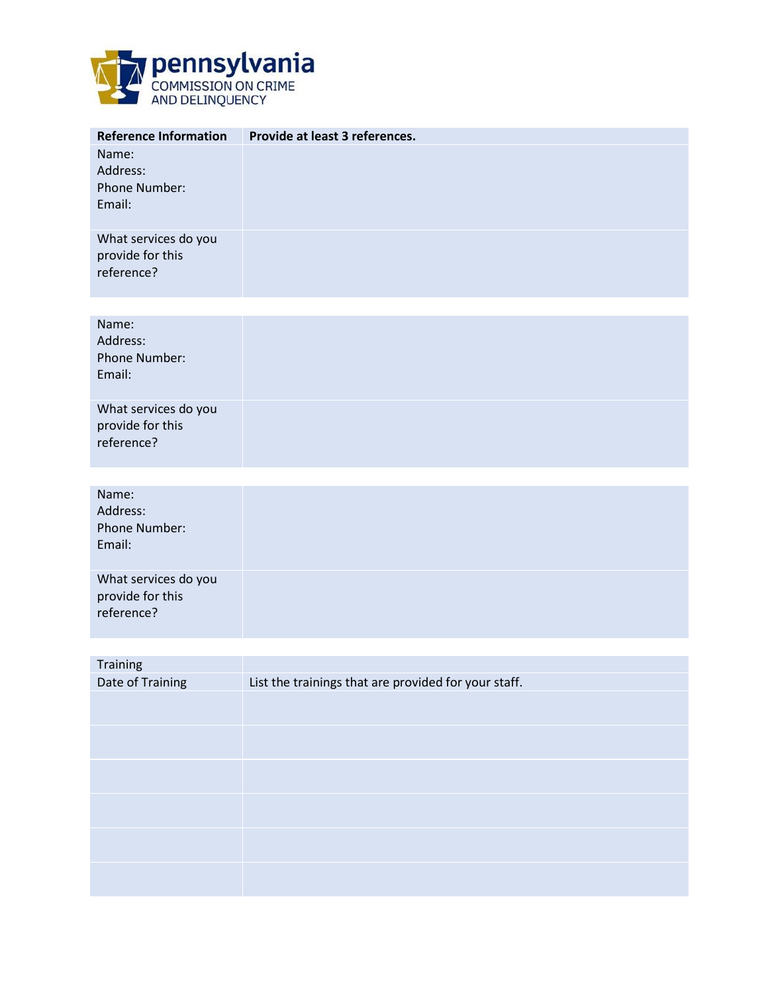

| <b>Reference Information</b>                           | Provide at least 3 references. |
|--------------------------------------------------------|--------------------------------|
| Name:<br>Address:<br><b>Phone Number:</b><br>Email:    |                                |
| What services do you<br>provide for this<br>reference? |                                |
| Name:                                                  |                                |
| Address:                                               |                                |
| <b>Phone Number:</b><br>Email:                         |                                |
|                                                        |                                |
| What services do you<br>provide for this<br>reference? |                                |
|                                                        |                                |
| Name:<br>Address:<br>Phone Number:<br>Email:           |                                |
|                                                        |                                |
| What services do you<br>provide for this<br>reference? |                                |

| Training         |                                                      |
|------------------|------------------------------------------------------|
| Date of Training | List the trainings that are provided for your staff. |
|                  |                                                      |
|                  |                                                      |
|                  |                                                      |
|                  |                                                      |
|                  |                                                      |
|                  |                                                      |
|                  |                                                      |
|                  |                                                      |
|                  |                                                      |
|                  |                                                      |
|                  |                                                      |
|                  |                                                      |